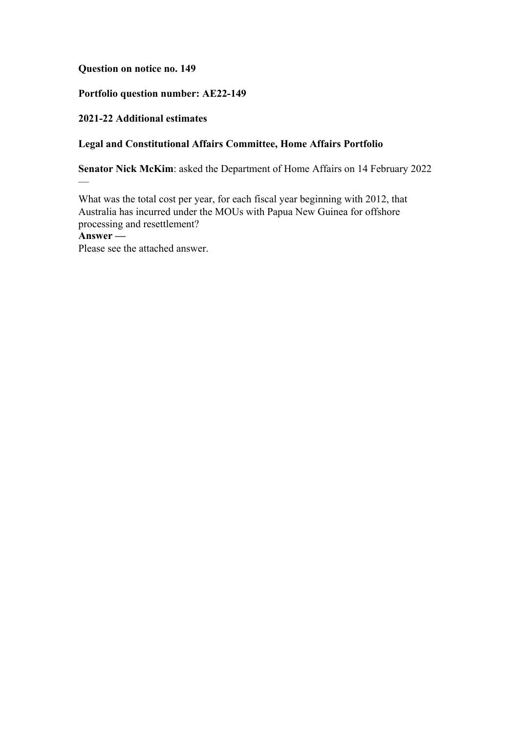## **Question on notice no. 149**

# **Portfolio question number: AE22-149**

## **2021-22 Additional estimates**

—

# **Legal and Constitutional Affairs Committee, Home Affairs Portfolio**

**Senator Nick McKim**: asked the Department of Home Affairs on 14 February 2022

What was the total cost per year, for each fiscal year beginning with 2012, that Australia has incurred under the MOUs with Papua New Guinea for offshore processing and resettlement? **Answer —** Please see the attached answer.